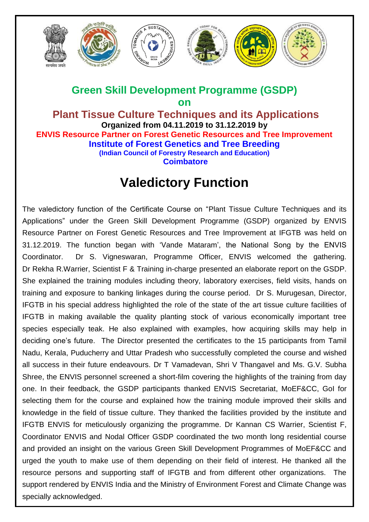

## **Green Skill Development Programme (GSDP) on Plant Tissue Culture Techniques and its Applications Organized from 04.11.2019 to 31.12.2019 by ENVIS Resource Partner on Forest Genetic Resources and Tree Improvement Institute of Forest Genetics and Tree Breeding (Indian Council of Forestry Research and Education) Coimbatore**

## **Valedictory Function**

The valedictory function of the Certificate Course on "Plant Tissue Culture Techniques and its Applications" under the Green Skill Development Programme (GSDP) organized by ENVIS Resource Partner on Forest Genetic Resources and Tree Improvement at IFGTB was held on 31.12.2019. The function began with "Vande Mataram", the National Song by the ENVIS Coordinator. Dr S. Vigneswaran, Programme Officer, ENVIS welcomed the gathering. Dr Rekha R.Warrier, Scientist F & Training in-charge presented an elaborate report on the GSDP. She explained the training modules including theory, laboratory exercises, field visits, hands on training and exposure to banking linkages during the course period. Dr S. Murugesan, Director, IFGTB in his special address highlighted the role of the state of the art tissue culture facilities of IFGTB in making available the quality planting stock of various economically important tree species especially teak. He also explained with examples, how acquiring skills may help in deciding one"s future. The Director presented the certificates to the 15 participants from Tamil Nadu, Kerala, Puducherry and Uttar Pradesh who successfully completed the course and wished all success in their future endeavours. Dr T Vamadevan, Shri V Thangavel and Ms. G.V. Subha Shree, the ENVIS personnel screened a short-film covering the highlights of the training from day one. In their feedback, the GSDP participants thanked ENVIS Secretariat, MoEF&CC, GoI for selecting them for the course and explained how the training module improved their skills and knowledge in the field of tissue culture. They thanked the facilities provided by the institute and IFGTB ENVIS for meticulously organizing the programme. Dr Kannan CS Warrier, Scientist F, Coordinator ENVIS and Nodal Officer GSDP coordinated the two month long residential course and provided an insight on the various Green Skill Development Programmes of MoEF&CC and urged the youth to make use of them depending on their field of interest. He thanked all the resource persons and supporting staff of IFGTB and from different other organizations. The support rendered by ENVIS India and the Ministry of Environment Forest and Climate Change was specially acknowledged.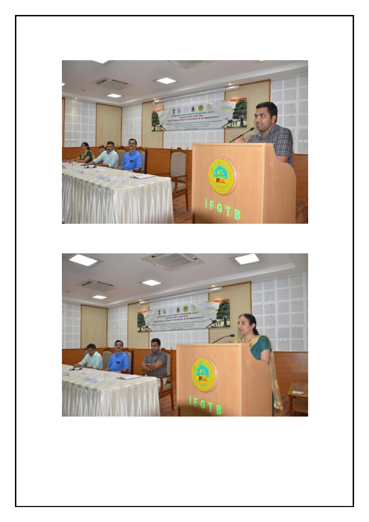

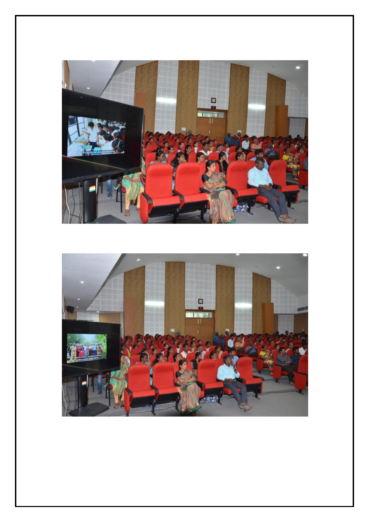

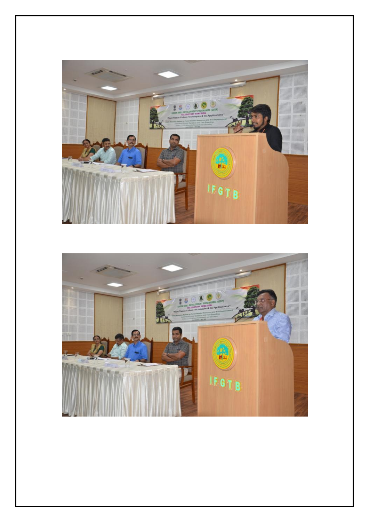

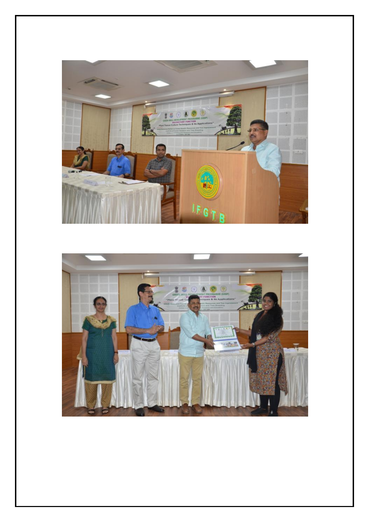